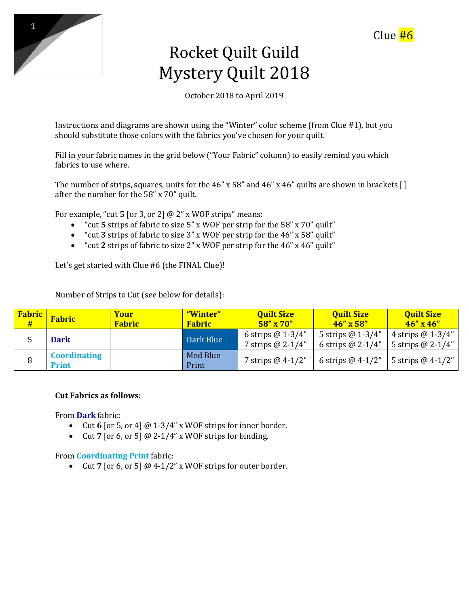

# Rocket Quilt Guild Mystery Quilt 2018

October 2018 to April 2019

Instructions and diagrams are shown using the "Winter" color scheme (from Clue #1), but you should substitute those colors with the fabrics you've chosen for your quilt.

Fill in your fabric names in the grid below ("Your Fabric" column) to easily remind you which fabrics to use where.

The number of strips, squares, units for the 46" x 58" and 46" x 46" quilts are shown in brackets  $\lceil \rceil$ after the number for the 58" x 70" quilt.

For example, "cut **5** [or 3, or 2] @ 2" x WOF strips" means:

- "cut **5** strips of fabric to size 5" x WOF per strip for the 58" x 70" quilt"
- "cut **3** strips of fabric to size 3" x WOF per strip for the 46" x 58" quilt"
- "cut **2** strips of fabric to size 2" x WOF per strip for the 46" x 46" quilt"

Let's get started with Clue #6 (the FINAL Clue)!

Number of Strips to Cut (see below for details):

| <b>Fabric</b><br># | <b>Fabric</b>                | Your<br><b>Fabric</b> | "Winter"<br><b>Fabric</b> | <b>Quilt Size</b><br>$58'' \times 70''$ | <b>Quilt Size</b><br>$46'' \times 58''$   | <b>Quilt Size</b><br>$46'' \times 46''$   |
|--------------------|------------------------------|-----------------------|---------------------------|-----------------------------------------|-------------------------------------------|-------------------------------------------|
|                    | <b>Dark</b>                  |                       | Dark Blue                 | 6 strips $@1-3/4"$<br>7 strips @ 2-1/4" | 5 strips $@1-3/4"$<br>6 strips $@$ 2-1/4" | 4 strips $@1-3/4"$<br>5 strips $@$ 2-1/4" |
|                    | <b>Coordinating</b><br>Print |                       | Med Blue<br>Print         | 7 strips $@$ 4-1/2"                     | 6 strips $@$ 4-1/2"                       | 5 strips $@$ 4-1/2"                       |

#### **Cut Fabrics as follows:**

From **Dark** fabric:

- Cut **6** [or 5, or 4] @ 1-3/4" x WOF strips for inner border.
- Cut **7** [or 6, or 5] @ 2-1/4" x WOF strips for binding.

#### From **Coordinating Print** fabric:

• Cut **7** [or 6, or 5] @ 4-1/2" x WOF strips for outer border.

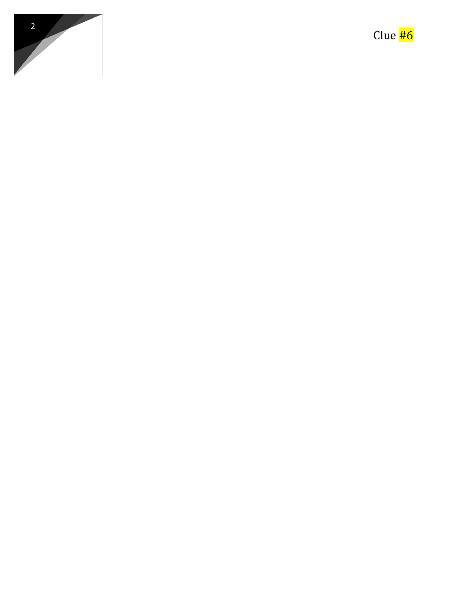

Clue **#6**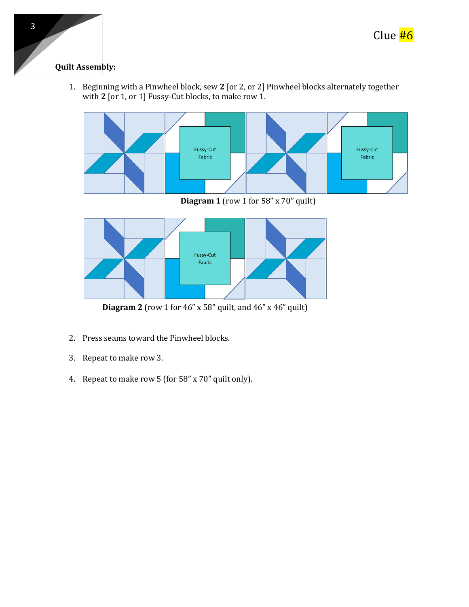

## **Quilt Assembly:**

1. Beginning with a Pinwheel block, sew **2** [or 2, or 2] Pinwheel blocks alternately together with 2 [or 1, or 1] Fussy-Cut blocks, to make row 1.



**Diagram 1** (row 1 for 58" x 70" quilt)



**Diagram 2** (row 1 for 46" x 58" quilt, and 46" x 46" quilt)

- 2. Press seams toward the Pinwheel blocks.
- 3. Repeat to make row 3.
- 4. Repeat to make row 5 (for 58" x 70" quilt only).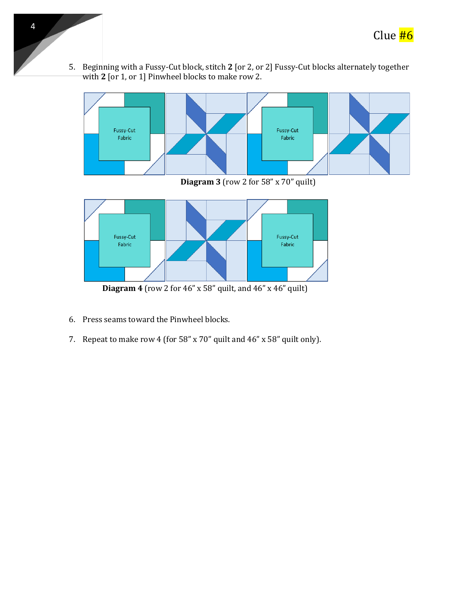

5. Beginning with a Fussy-Cut block, stitch **2** [or 2, or 2] Fussy-Cut blocks alternately together with **2** [or 1, or 1] Pinwheel blocks to make row 2.



**Diagram 3** (row 2 for 58" x 70" quilt)



**Diagram 4** (row 2 for 46" x 58" quilt, and 46" x 46" quilt)

6. Press seams toward the Pinwheel blocks.

4

7. Repeat to make row 4 (for 58" x 70" quilt and 46" x 58" quilt only).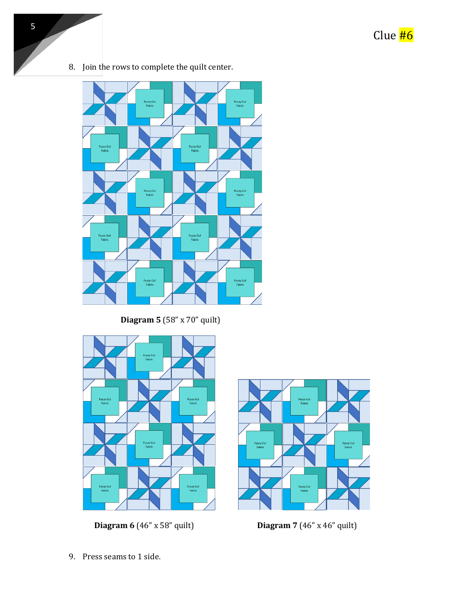

8. Join the rows to complete the quilt center.

**Diagram 5** (58" x 70" quilt)



**Diagram 6** (46" x 58" quilt) **Diagram 7** (46" x 46" quilt)



9. Press seams to 1 side.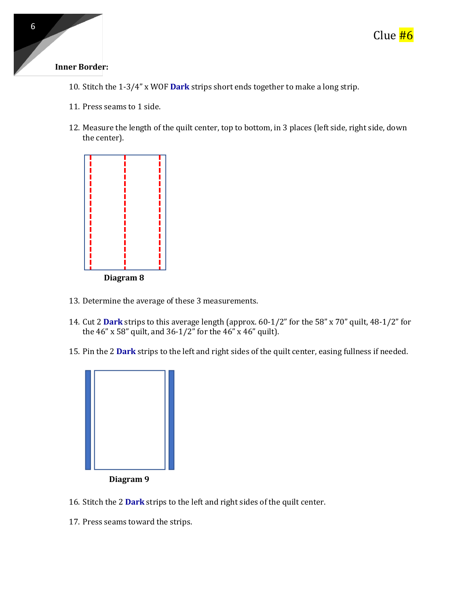

#### **Inner Border:**

- 10. Stitch the 1-3/4" x WOF **Dark** strips short ends together to make a long strip.
- 11. Press seams to 1 side.
- 12. Measure the length of the quilt center, top to bottom, in 3 places (left side, right side, down the center).



- 13. Determine the average of these 3 measurements.
- 14. Cut 2 **Dark** strips to this average length (approx. 60-1/2" for the 58" x 70" quilt, 48-1/2" for the 46" x 58" quilt, and 36-1/2" for the 46" x 46" quilt).
- 15. Pin the 2 **Dark** strips to the left and right sides of the quilt center, easing fullness if needed.



- 16. Stitch the 2 **Dark** strips to the left and right sides of the quilt center.
- 17. Press seams toward the strips.

6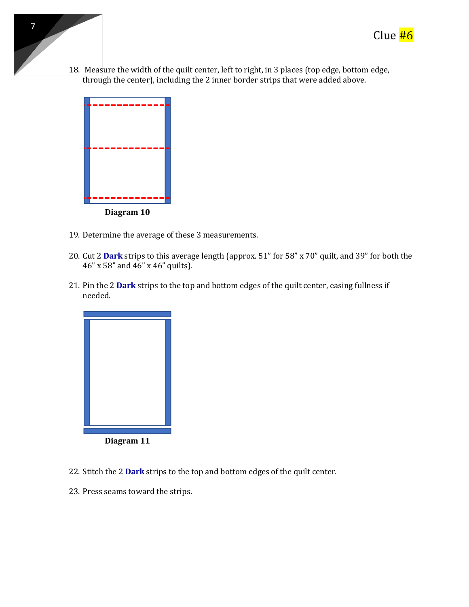

18. Measure the width of the quilt center, left to right, in 3 places (top edge, bottom edge, through the center), including the 2 inner border strips that were added above.



7

- 19. Determine the average of these 3 measurements.
- 20. Cut 2 **Dark** strips to this average length (approx. 51" for 58" x 70" quilt, and 39" for both the 46" x 58" and 46" x 46" quilts).
- 21. Pin the 2 **Dark** strips to the top and bottom edges of the quilt center, easing fullness if needed.



- 22. Stitch the 2 **Dark** strips to the top and bottom edges of the quilt center.
- 23. Press seams toward the strips.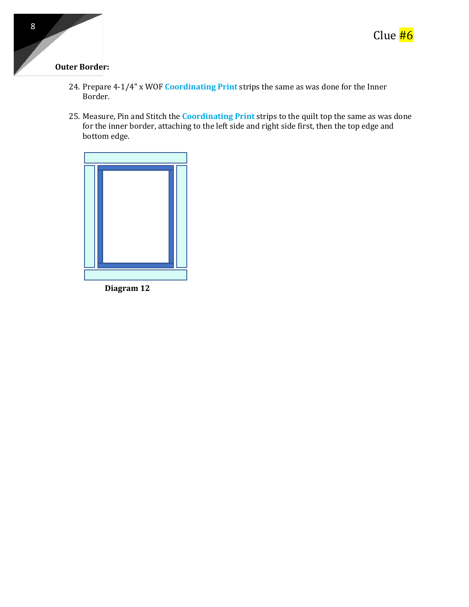

### **Outer Border:**

- 24. Prepare 4-1/4" x WOF **Coordinating Print** strips the same as was done for the Inner Border.
- 25. Measure, Pin and Stitch the **Coordinating Print** strips to the quilt top the same as was done for the inner border, attaching to the left side and right side first, then the top edge and bottom edge.

**Diagram 12**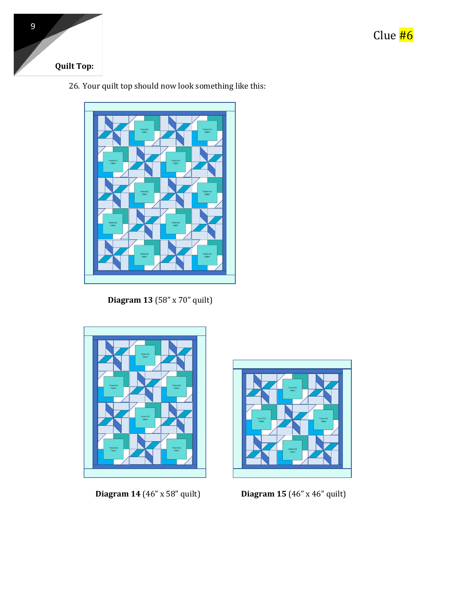

## **Quilt Top:**

26. Your quilt top should now look something like this:



**Diagram 13** (58" x 70" quilt)



 **Diagram 14** (46" x 58" quilt) **Diagram 15** (46" x 46" quilt)

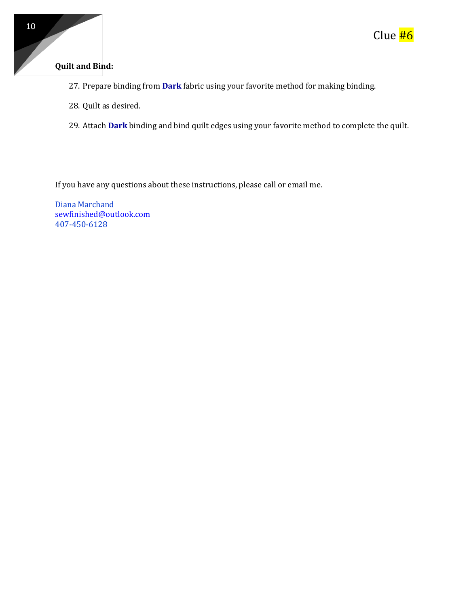## **Quilt and Bind:**

- 27. Prepare binding from **Dark** fabric using your favorite method for making binding.
- 28. Quilt as desired.
- 29. Attach **Dark** binding and bind quilt edges using your favorite method to complete the quilt.

If you have any questions about these instructions, please call or email me.

Diana Marchand [sewfinished@outlook.com](mailto:sewfinished@outlook.com) 407-450-6128